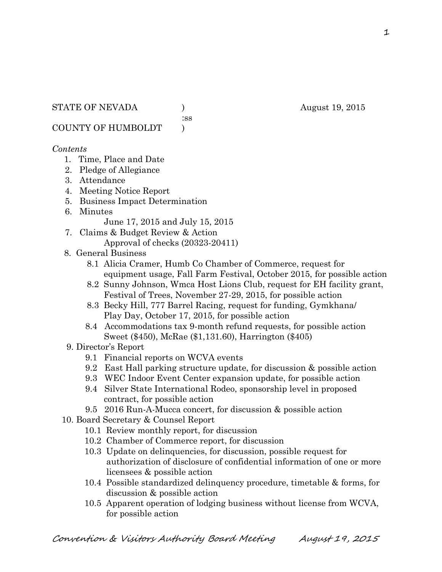:ss

COUNTY OF HUMBOLDT )

## *Contents*

- 1. Time, Place and Date
- 2. Pledge of Allegiance
- 3. Attendance
- 4. Meeting Notice Report
- 5. Business Impact Determination
- 6. Minutes

June 17, 2015 and July 15, 2015

- 7. Claims & Budget Review & Action Approval of checks (20323-20411)
- 8. General Business
	- 8.1 Alicia Cramer, Humb Co Chamber of Commerce, request for equipment usage, Fall Farm Festival, October 2015, for possible action
	- 8.2 Sunny Johnson, Wmca Host Lions Club, request for EH facility grant, Festival of Trees, November 27-29, 2015, for possible action
	- 8.3 Becky Hill, 777 Barrel Racing, request for funding, Gymkhana/ Play Day, October 17, 2015, for possible action
	- 8.4 Accommodations tax 9-month refund requests, for possible action Sweet (\$450), McRae (\$1,131.60), Harrington (\$405)
- 9. Director's Report
	- 9.1 Financial reports on WCVA events
	- 9.2 East Hall parking structure update, for discussion & possible action
	- 9.3 WEC Indoor Event Center expansion update, for possible action
	- 9.4 Silver State International Rodeo, sponsorship level in proposed contract, for possible action
	- 9.5 2016 Run-A-Mucca concert, for discussion & possible action
- 10. Board Secretary & Counsel Report
	- 10.1 Review monthly report, for discussion
	- 10.2 Chamber of Commerce report, for discussion
	- 10.3 Update on delinquencies, for discussion, possible request for authorization of disclosure of confidential information of one or more licensees & possible action
	- 10.4 Possible standardized delinquency procedure, timetable & forms, for discussion & possible action
	- 10.5 Apparent operation of lodging business without license from WCVA, for possible action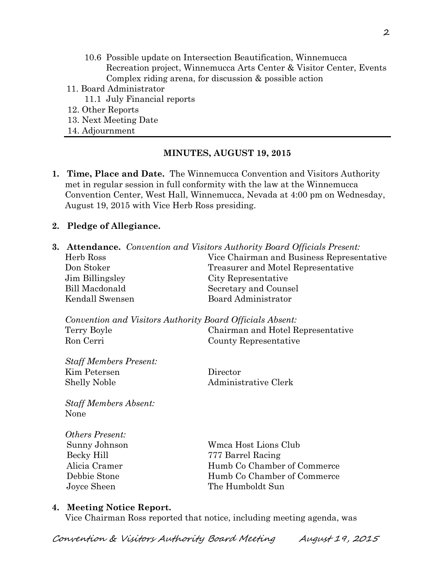- 10.6 Possible update on Intersection Beautification, Winnemucca Recreation project, Winnemucca Arts Center & Visitor Center, Events Complex riding arena, for discussion & possible action
- 11. Board Administrator
	- 11.1 July Financial reports
- 12. Other Reports
- 13. Next Meeting Date
- 14. Adjournment

### **MINUTES, AUGUST 19, 2015**

**1. Time, Place and Date.** The Winnemucca Convention and Visitors Authority met in regular session in full conformity with the law at the Winnemucca Convention Center, West Hall, Winnemucca, Nevada at 4:00 pm on Wednesday, August 19, 2015 with Vice Herb Ross presiding.

### **2. Pledge of Allegiance.**

**3. Attendance.** *Convention and Visitors Authority Board Officials Present:*  Herb Ross Vice Chairman and Business Representative Don Stoker Treasurer and Motel Representative Jim Billingsley City Representative Bill Macdonald Secretary and Counsel Kendall Swensen Board Administrator *Convention and Visitors Authority Board Officials Absent:*  Terry Boyle Chairman and Hotel Representative Ron Cerri County Representative *Staff Members Present:*  Kim Petersen Director Shelly Noble Administrative Clerk *Staff Members Absent:*  None *Others Present:*  Sunny Johnson Wmca Host Lions Club Becky Hill 777 Barrel Racing Alicia Cramer Humb Co Chamber of Commerce Debbie Stone Humb Co Chamber of Commerce

#### **4. Meeting Notice Report.**

Vice Chairman Ross reported that notice, including meeting agenda, was

Joyce Sheen The Humboldt Sun

Convention & Visitors Authority Board Meeting August 19, 2015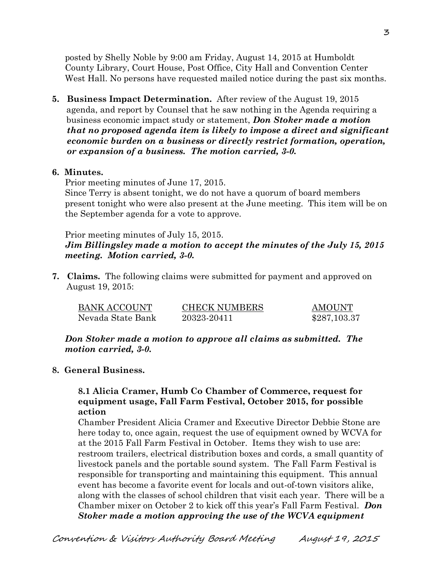posted by Shelly Noble by 9:00 am Friday, August 14, 2015 at Humboldt County Library, Court House, Post Office, City Hall and Convention Center West Hall. No persons have requested mailed notice during the past six months.

**5. Business Impact Determination.** After review of the August 19, 2015 agenda, and report by Counsel that he saw nothing in the Agenda requiring a business economic impact study or statement, *Don Stoker made a motion that no proposed agenda item is likely to impose a direct and significant economic burden on a business or directly restrict formation, operation, or expansion of a business. The motion carried, 3-0.* 

### **6. Minutes.**

Prior meeting minutes of June 17, 2015.

Since Terry is absent tonight, we do not have a quorum of board members present tonight who were also present at the June meeting. This item will be on the September agenda for a vote to approve.

Prior meeting minutes of July 15, 2015. *Jim Billingsley made a motion to accept the minutes of the July 15, 2015 meeting. Motion carried, 3-0.*

**7. Claims.** The following claims were submitted for payment and approved on August 19, 2015:

| <b>BANK ACCOUNT</b> | <b>CHECK NUMBERS</b> | <b>AMOUNT</b> |
|---------------------|----------------------|---------------|
| Nevada State Bank   | 20323-20411          | \$287,103.37  |

*Don Stoker made a motion to approve all claims as submitted. The motion carried, 3-0.* 

### **8. General Business.**

### **8.1 Alicia Cramer, Humb Co Chamber of Commerce, request for equipment usage, Fall Farm Festival, October 2015, for possible action**

Chamber President Alicia Cramer and Executive Director Debbie Stone are here today to, once again, request the use of equipment owned by WCVA for at the 2015 Fall Farm Festival in October. Items they wish to use are: restroom trailers, electrical distribution boxes and cords, a small quantity of livestock panels and the portable sound system. The Fall Farm Festival is responsible for transporting and maintaining this equipment. This annual event has become a favorite event for locals and out-of-town visitors alike, along with the classes of school children that visit each year. There will be a Chamber mixer on October 2 to kick off this year's Fall Farm Festival. *Don Stoker made a motion approving the use of the WCVA equipment*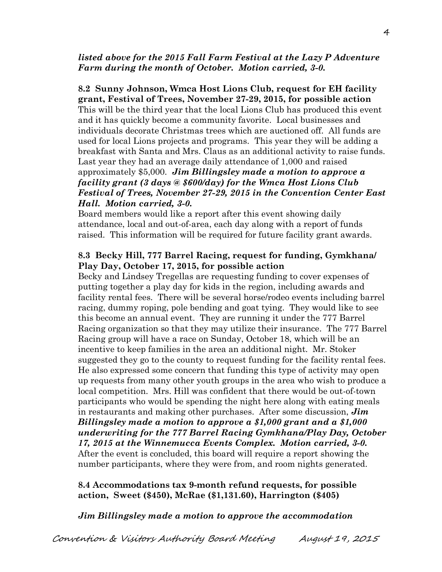### *listed above for the 2015 Fall Farm Festival at the Lazy P Adventure Farm during the month of October. Motion carried, 3-0.*

**8.2 Sunny Johnson, Wmca Host Lions Club, request for EH facility grant, Festival of Trees, November 27-29, 2015, for possible action**  This will be the third year that the local Lions Club has produced this event and it has quickly become a community favorite. Local businesses and individuals decorate Christmas trees which are auctioned off. All funds are used for local Lions projects and programs. This year they will be adding a breakfast with Santa and Mrs. Claus as an additional activity to raise funds. Last year they had an average daily attendance of 1,000 and raised approximately \$5,000. *Jim Billingsley made a motion to approve a facility grant (3 days @ \$600/day) for the Wmca Host Lions Club Festival of Trees, November 27-29, 2015 in the Convention Center East Hall. Motion carried, 3-0.* 

Board members would like a report after this event showing daily attendance, local and out-of-area, each day along with a report of funds raised. This information will be required for future facility grant awards.

### **8.3 Becky Hill, 777 Barrel Racing, request for funding, Gymkhana/ Play Day, October 17, 2015, for possible action**

Becky and Lindsey Tregellas are requesting funding to cover expenses of putting together a play day for kids in the region, including awards and facility rental fees. There will be several horse/rodeo events including barrel racing, dummy roping, pole bending and goat tying. They would like to see this become an annual event. They are running it under the 777 Barrel Racing organization so that they may utilize their insurance. The 777 Barrel Racing group will have a race on Sunday, October 18, which will be an incentive to keep families in the area an additional night. Mr. Stoker suggested they go to the county to request funding for the facility rental fees. He also expressed some concern that funding this type of activity may open up requests from many other youth groups in the area who wish to produce a local competition. Mrs. Hill was confident that there would be out-of-town participants who would be spending the night here along with eating meals in restaurants and making other purchases. After some discussion, *Jim Billingsley made a motion to approve a \$1,000 grant and a \$1,000 underwriting for the 777 Barrel Racing Gymkhana/Play Day, October 17, 2015 at the Winnemucca Events Complex. Motion carried, 3-0.* After the event is concluded, this board will require a report showing the number participants, where they were from, and room nights generated.

## **8.4 Accommodations tax 9-month refund requests, for possible action, Sweet (\$450), McRae (\$1,131.60), Harrington (\$405)**

*Jim Billingsley made a motion to approve the accommodation*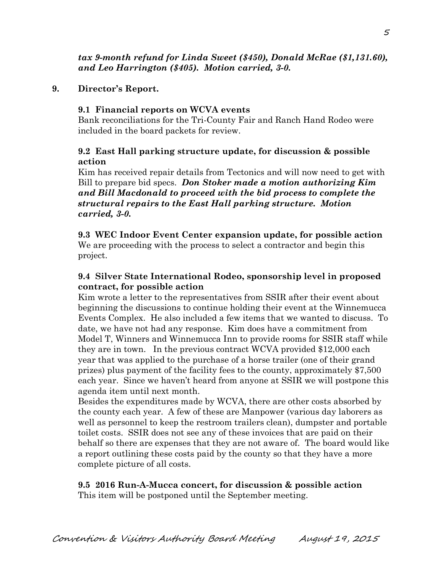# **9. Director's Report.**

# **9.1 Financial reports on WCVA events**

Bank reconciliations for the Tri-County Fair and Ranch Hand Rodeo were included in the board packets for review.

# **9.2 East Hall parking structure update, for discussion & possible action**

Kim has received repair details from Tectonics and will now need to get with Bill to prepare bid specs. *Don Stoker made a motion authorizing Kim and Bill Macdonald to proceed with the bid process to complete the structural repairs to the East Hall parking structure. Motion carried, 3-0.* 

 **9.3 WEC Indoor Event Center expansion update, for possible action**  We are proceeding with the process to select a contractor and begin this project.

# **9.4 Silver State International Rodeo, sponsorship level in proposed contract, for possible action**

Kim wrote a letter to the representatives from SSIR after their event about beginning the discussions to continue holding their event at the Winnemucca Events Complex. He also included a few items that we wanted to discuss. To date, we have not had any response. Kim does have a commitment from Model T, Winners and Winnemucca Inn to provide rooms for SSIR staff while they are in town. In the previous contract WCVA provided \$12,000 each year that was applied to the purchase of a horse trailer (one of their grand prizes) plus payment of the facility fees to the county, approximately \$7,500 each year. Since we haven't heard from anyone at SSIR we will postpone this agenda item until next month.

Besides the expenditures made by WCVA, there are other costs absorbed by the county each year. A few of these are Manpower (various day laborers as well as personnel to keep the restroom trailers clean), dumpster and portable toilet costs. SSIR does not see any of these invoices that are paid on their behalf so there are expenses that they are not aware of. The board would like a report outlining these costs paid by the county so that they have a more complete picture of all costs.

# **9.5 2016 Run-A-Mucca concert, for discussion & possible action**

This item will be postponed until the September meeting.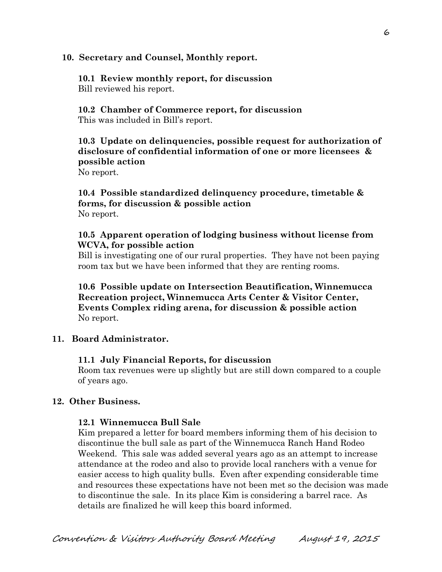### **10. Secretary and Counsel, Monthly report.**

### **10.1 Review monthly report, for discussion**  Bill reviewed his report.

### **10.2 Chamber of Commerce report, for discussion**  This was included in Bill's report.

# **10.3 Update on delinquencies, possible request for authorization of disclosure of confidential information of one or more licensees & possible action**

No report.

## **10.4 Possible standardized delinquency procedure, timetable & forms, for discussion & possible action**  No report.

### **10.5 Apparent operation of lodging business without license from WCVA, for possible action**

 Bill is investigating one of our rural properties. They have not been paying room tax but we have been informed that they are renting rooms.

**10.6 Possible update on Intersection Beautification, Winnemucca Recreation project, Winnemucca Arts Center & Visitor Center, Events Complex riding arena, for discussion & possible action**  No report.

## **11. Board Administrator.**

### **11.1 July Financial Reports, for discussion**

Room tax revenues were up slightly but are still down compared to a couple of years ago.

### **12. Other Business.**

### **12.1 Winnemucca Bull Sale**

Kim prepared a letter for board members informing them of his decision to discontinue the bull sale as part of the Winnemucca Ranch Hand Rodeo Weekend. This sale was added several years ago as an attempt to increase attendance at the rodeo and also to provide local ranchers with a venue for easier access to high quality bulls. Even after expending considerable time and resources these expectations have not been met so the decision was made to discontinue the sale. In its place Kim is considering a barrel race. As details are finalized he will keep this board informed.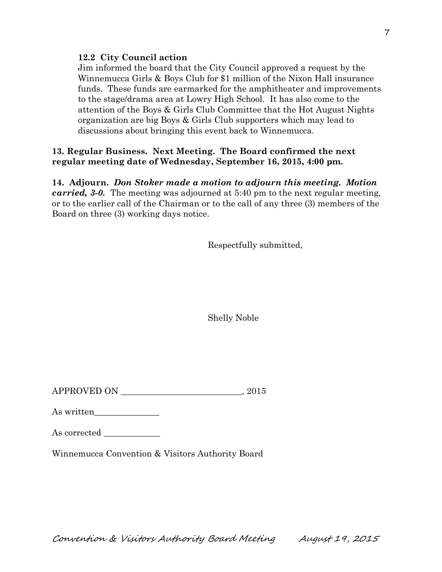### **12.2 City Council action**

Jim informed the board that the City Council approved a request by the Winnemucca Girls & Boys Club for \$1 million of the Nixon Hall insurance funds. These funds are earmarked for the amphitheater and improvements to the stage/drama area at Lowry High School. It has also come to the attention of the Boys & Girls Club Committee that the Hot August Nights organization are big Boys & Girls Club supporters which may lead to discussions about bringing this event back to Winnemucca.

## **13. Regular Business. Next Meeting. The Board confirmed the next regular meeting date of Wednesday, September 16, 2015, 4:00 pm.**

**14. Adjourn.** *Don Stoker made a motion to adjourn this meeting. Motion carried, 3-0.* The meeting was adjourned at 5:40 pm to the next regular meeting, or to the earlier call of the Chairman or to the call of any three (3) members of the Board on three (3) working days notice.

Respectfully submitted,

Shelly Noble

APPROVED ON  $.2015$ 

As written\_\_\_\_\_\_\_\_\_\_\_\_\_\_\_

| As corrected |  |
|--------------|--|
|              |  |

Winnemucca Convention & Visitors Authority Board

Convention & Visitors Authority Board Meeting August 19, 2015